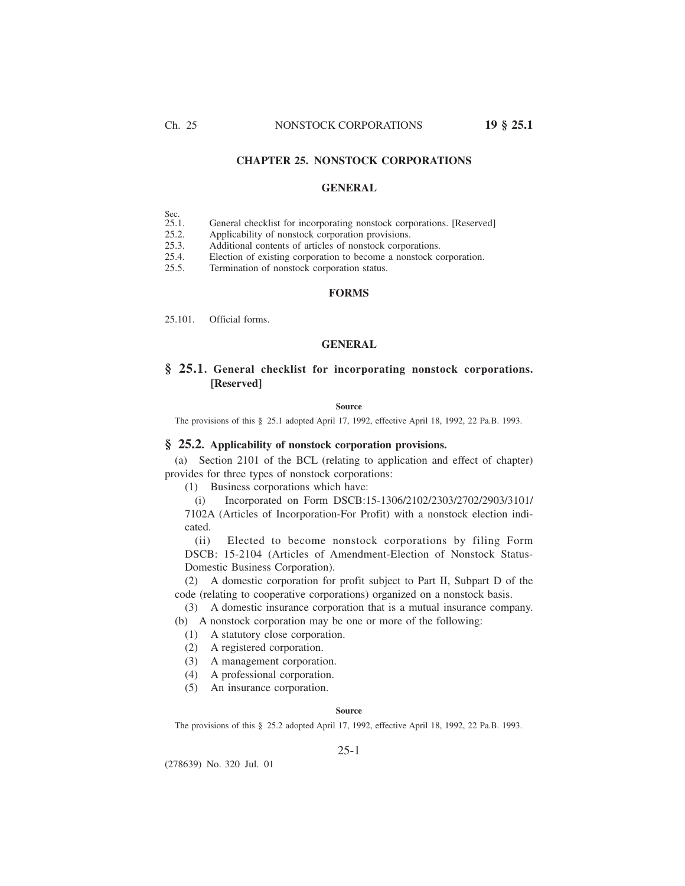## **CHAPTER 25. NONSTOCK CORPORATIONS**

## **GENERAL**

- Sec.<br>25.1.
- 25.1. General checklist for incorporating nonstock corporations. [Reserved] 25.2. Applicability of nonstock corporation provisions.
- 25.2. Applicability of nonstock corporation provisions.<br>25.3. Additional contents of articles of nonstock corpor
- 25.3. Additional contents of articles of nonstock corporations.<br>25.4. Election of existing corporation to become a nonstock co
- Election of existing corporation to become a nonstock corporation.
- 25.5. Termination of nonstock corporation status.

## **FORMS**

25.101. Official forms.

## **GENERAL**

## **§ 25.1. General checklist for incorporating nonstock corporations. [Reserved]**

### **Source**

The provisions of this § 25.1 adopted April 17, 1992, effective April 18, 1992, 22 Pa.B. 1993.

## **§ 25.2. Applicability of nonstock corporation provisions.**

(a) Section 2101 of the BCL (relating to application and effect of chapter) provides for three types of nonstock corporations:

(1) Business corporations which have:

(i) Incorporated on Form DSCB:15-1306/2102/2303/2702/2903/3101/

7102A (Articles of Incorporation-For Profit) with a nonstock election indicated.

(ii) Elected to become nonstock corporations by filing Form DSCB: 15-2104 (Articles of Amendment-Election of Nonstock Status-Domestic Business Corporation).

(2) A domestic corporation for profit subject to Part II, Subpart D of the code (relating to cooperative corporations) organized on a nonstock basis.

(3) A domestic insurance corporation that is a mutual insurance company.

(b) A nonstock corporation may be one or more of the following:

- (1) A statutory close corporation.
- (2) A registered corporation.
- (3) A management corporation.
- (4) A professional corporation.
- (5) An insurance corporation.

#### **Source**

The provisions of this § 25.2 adopted April 17, 1992, effective April 18, 1992, 22 Pa.B. 1993.

### 25-1

(278639) No. 320 Jul. 01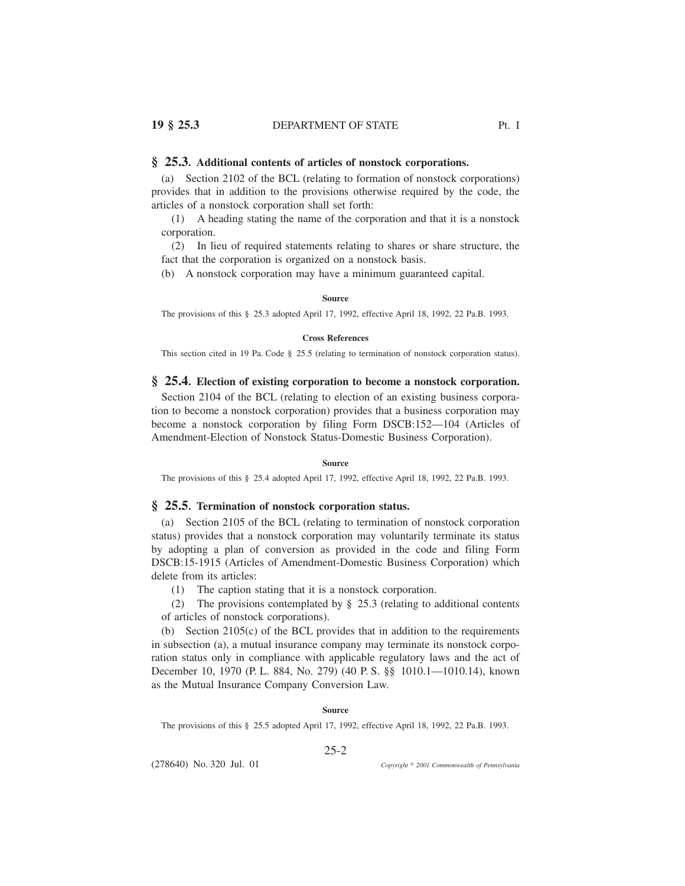## **§ 25.3. Additional contents of articles of nonstock corporations.**

(a) Section 2102 of the BCL (relating to formation of nonstock corporations) provides that in addition to the provisions otherwise required by the code, the articles of a nonstock corporation shall set forth:

(1) A heading stating the name of the corporation and that it is a nonstock corporation.

(2) In lieu of required statements relating to shares or share structure, the fact that the corporation is organized on a nonstock basis.

(b) A nonstock corporation may have a minimum guaranteed capital.

#### **Source**

The provisions of this § 25.3 adopted April 17, 1992, effective April 18, 1992, 22 Pa.B. 1993.

## **Cross References**

This section cited in 19 Pa. Code § 25.5 (relating to termination of nonstock corporation status).

## **§ 25.4. Election of existing corporation to become a nonstock corporation.**

Section 2104 of the BCL (relating to election of an existing business corporation to become a nonstock corporation) provides that a business corporation may become a nonstock corporation by filing Form DSCB:152—104 (Articles of Amendment-Election of Nonstock Status-Domestic Business Corporation).

### **Source**

The provisions of this § 25.4 adopted April 17, 1992, effective April 18, 1992, 22 Pa.B. 1993.

## **§ 25.5. Termination of nonstock corporation status.**

(a) Section 2105 of the BCL (relating to termination of nonstock corporation status) provides that a nonstock corporation may voluntarily terminate its status by adopting a plan of conversion as provided in the code and filing Form DSCB:15-1915 (Articles of Amendment-Domestic Business Corporation) which delete from its articles:

(1) The caption stating that it is a nonstock corporation.

(2) The provisions contemplated by § 25.3 (relating to additional contents of articles of nonstock corporations).

(b) Section 2105(c) of the BCL provides that in addition to the requirements in subsection (a), a mutual insurance company may terminate its nonstock corporation status only in compliance with applicable regulatory laws and the act of December 10, 1970 (P. L. 884, No. 279) (40 P. S. §§ 1010.1—1010.14), known as the Mutual Insurance Company Conversion Law.

#### **Source**

The provisions of this § 25.5 adopted April 17, 1992, effective April 18, 1992, 22 Pa.B. 1993.

## 25-2

(278640) No. 320 Jul. 01

*2001 Commonwealth of Pennsylvania*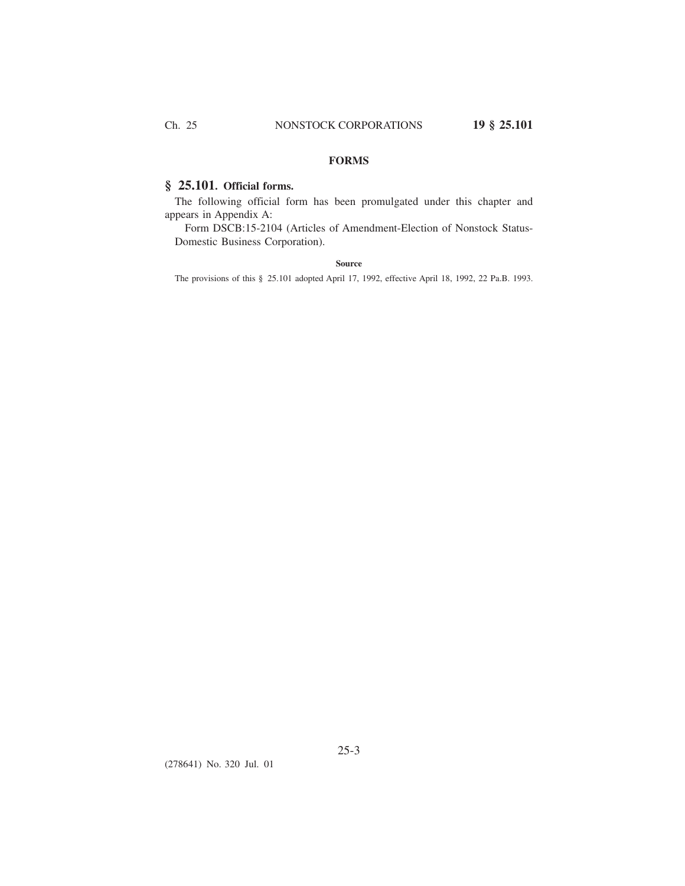## **FORMS**

# **§ 25.101. Official forms.**

The following official form has been promulgated under this chapter and appears in Appendix A:

Form DSCB:15-2104 (Articles of Amendment-Election of Nonstock Status-Domestic Business Corporation).

## **Source**

The provisions of this § 25.101 adopted April 17, 1992, effective April 18, 1992, 22 Pa.B. 1993.

(278641) No. 320 Jul. 01